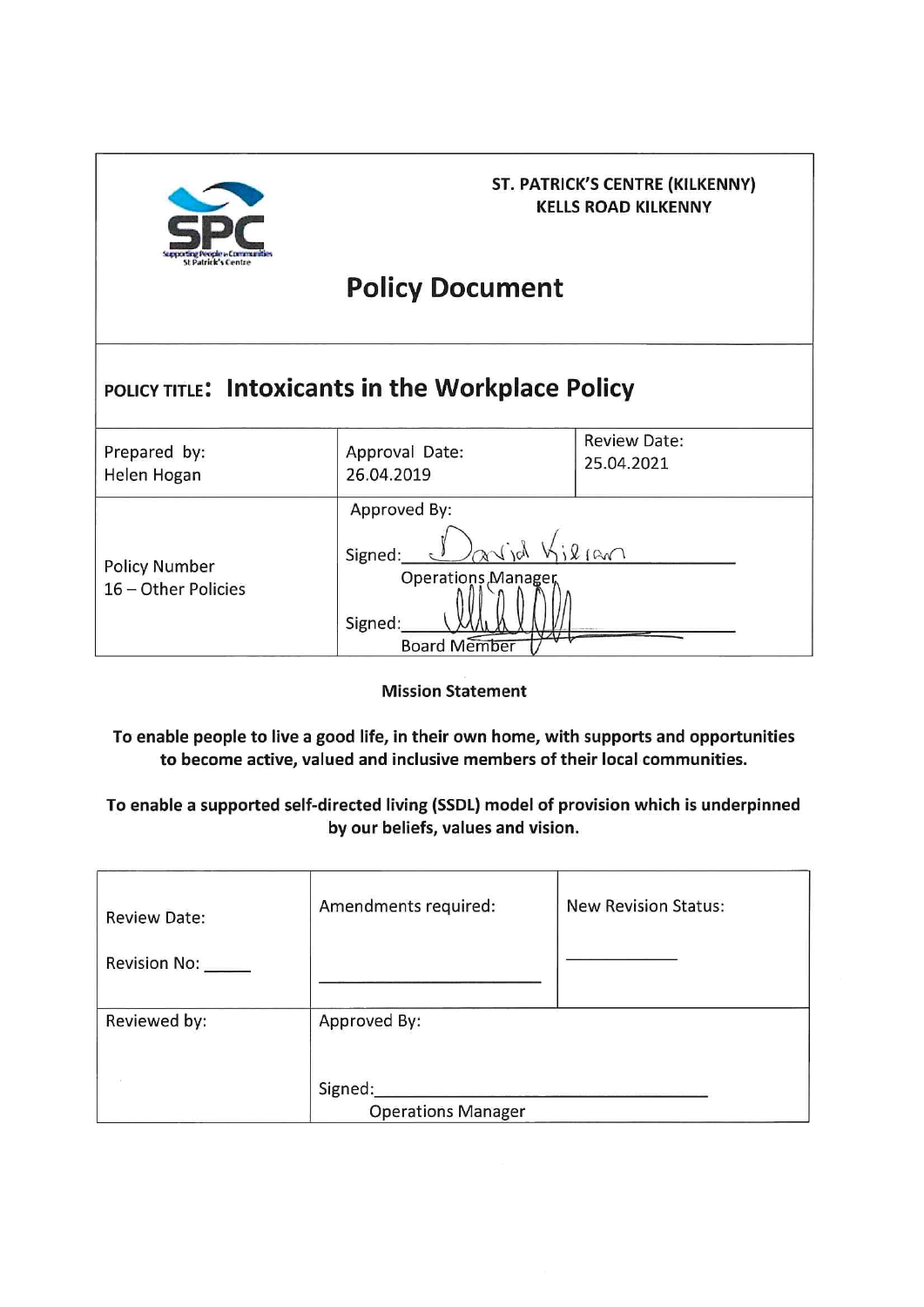

# **Policy Document**

# POLICY TITLE: Intoxicants in the Workplace Policy

| Prepared by:                                | Approval Date:                                                                                   | <b>Review Date:</b> |
|---------------------------------------------|--------------------------------------------------------------------------------------------------|---------------------|
| Helen Hogan                                 | 26.04.2019                                                                                       | 25.04.2021          |
| <b>Policy Number</b><br>16 - Other Policies | Approved By:<br>$2\sqrt{10}$<br>Signed:<br>Operations, Manager<br>Signed:<br><b>Board Member</b> | lcm                 |

**Mission Statement** 

To enable people to live a good life, in their own home, with supports and opportunities to become active, valued and inclusive members of their local communities.

### To enable a supported self-directed living (SSDL) model of provision which is underpinned by our beliefs, values and vision.

| <b>Review Date:</b><br>Revision No: | Amendments required:      | <b>New Revision Status:</b> |
|-------------------------------------|---------------------------|-----------------------------|
| Reviewed by:                        | Approved By:              |                             |
|                                     | Signed:                   |                             |
|                                     | <b>Operations Manager</b> |                             |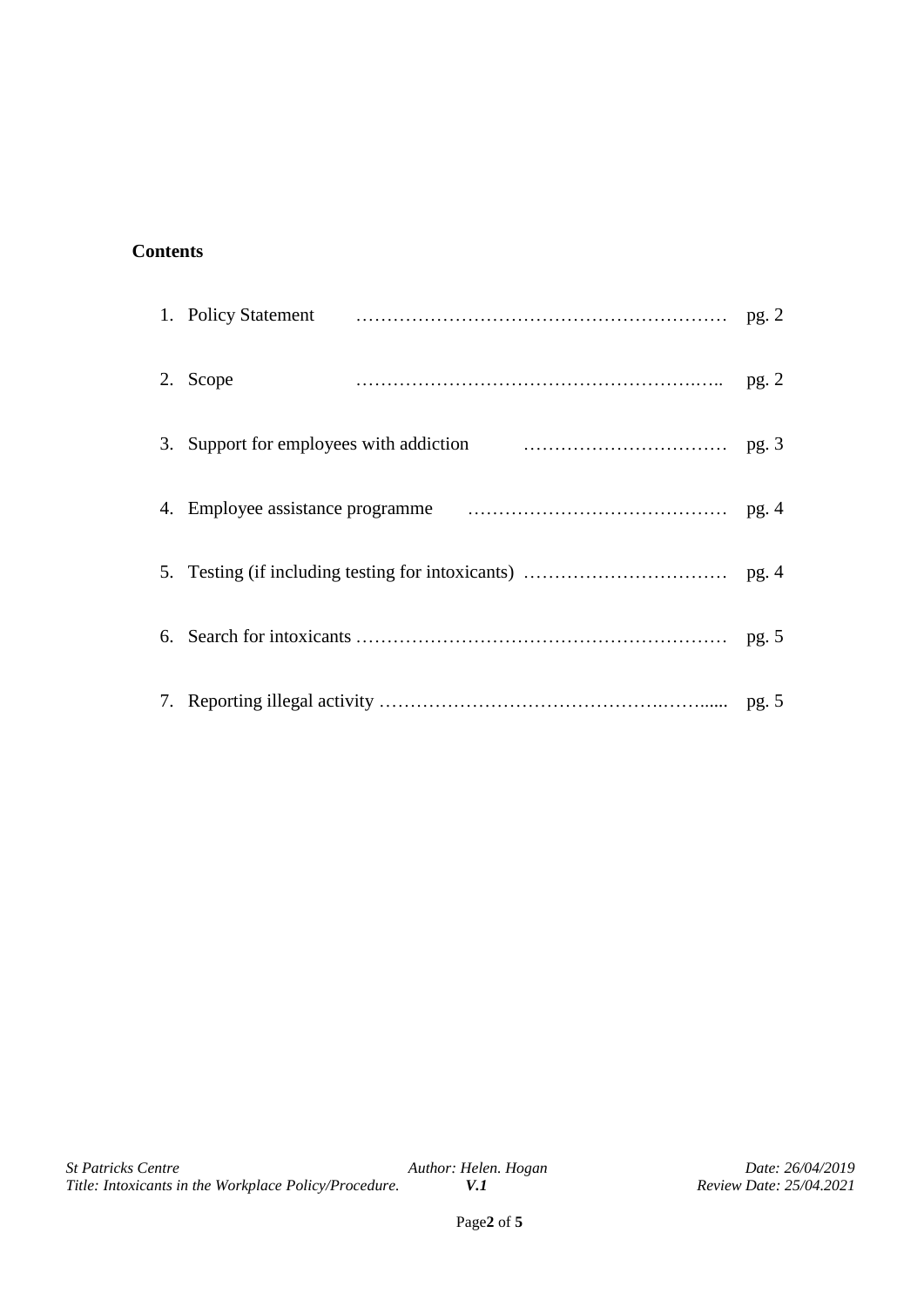## **Contents**

|    | 2. Scope |  |  |
|----|----------|--|--|
|    |          |  |  |
|    |          |  |  |
|    |          |  |  |
| 6. |          |  |  |
|    |          |  |  |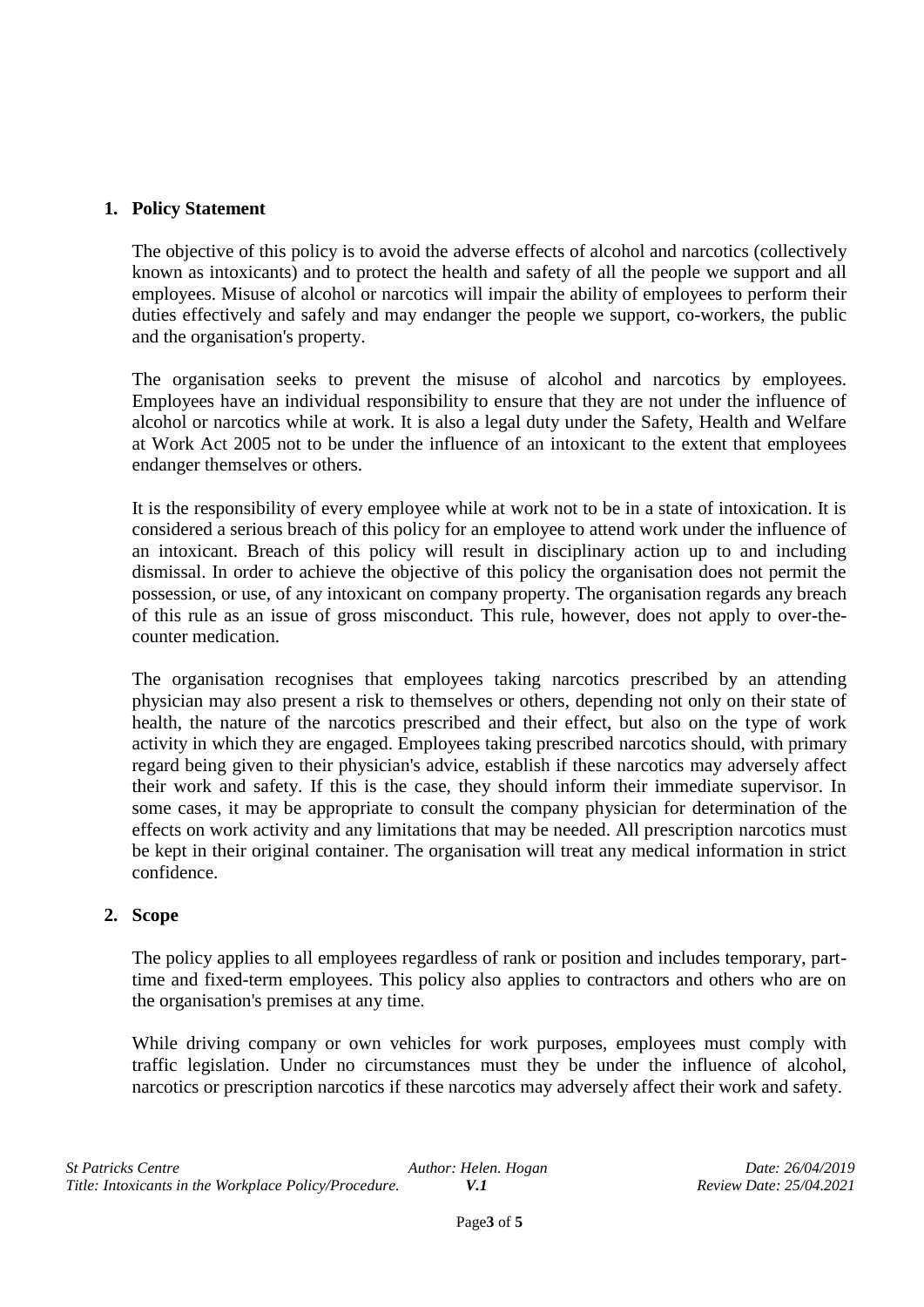#### **1. Policy Statement**

The objective of this policy is to avoid the adverse effects of alcohol and narcotics (collectively known as intoxicants) and to protect the health and safety of all the people we support and all employees. Misuse of alcohol or narcotics will impair the ability of employees to perform their duties effectively and safely and may endanger the people we support, co-workers, the public and the organisation's property.

The organisation seeks to prevent the misuse of alcohol and narcotics by employees. Employees have an individual responsibility to ensure that they are not under the influence of alcohol or narcotics while at work. It is also a legal duty under the Safety, Health and Welfare at Work Act 2005 not to be under the influence of an intoxicant to the extent that employees endanger themselves or others.

It is the responsibility of every employee while at work not to be in a state of intoxication. It is considered a serious breach of this policy for an employee to attend work under the influence of an intoxicant. Breach of this policy will result in disciplinary action up to and including dismissal. In order to achieve the objective of this policy the organisation does not permit the possession, or use, of any intoxicant on company property. The organisation regards any breach of this rule as an issue of gross misconduct. This rule, however, does not apply to over-thecounter medication.

The organisation recognises that employees taking narcotics prescribed by an attending physician may also present a risk to themselves or others, depending not only on their state of health, the nature of the narcotics prescribed and their effect, but also on the type of work activity in which they are engaged. Employees taking prescribed narcotics should, with primary regard being given to their physician's advice, establish if these narcotics may adversely affect their work and safety. If this is the case, they should inform their immediate supervisor. In some cases, it may be appropriate to consult the company physician for determination of the effects on work activity and any limitations that may be needed. All prescription narcotics must be kept in their original container. The organisation will treat any medical information in strict confidence.

#### **2. Scope**

The policy applies to all employees regardless of rank or position and includes temporary, parttime and fixed-term employees. This policy also applies to contractors and others who are on the organisation's premises at any time.

While driving company or own vehicles for work purposes, employees must comply with traffic legislation. Under no circumstances must they be under the influence of alcohol, narcotics or prescription narcotics if these narcotics may adversely affect their work and safety.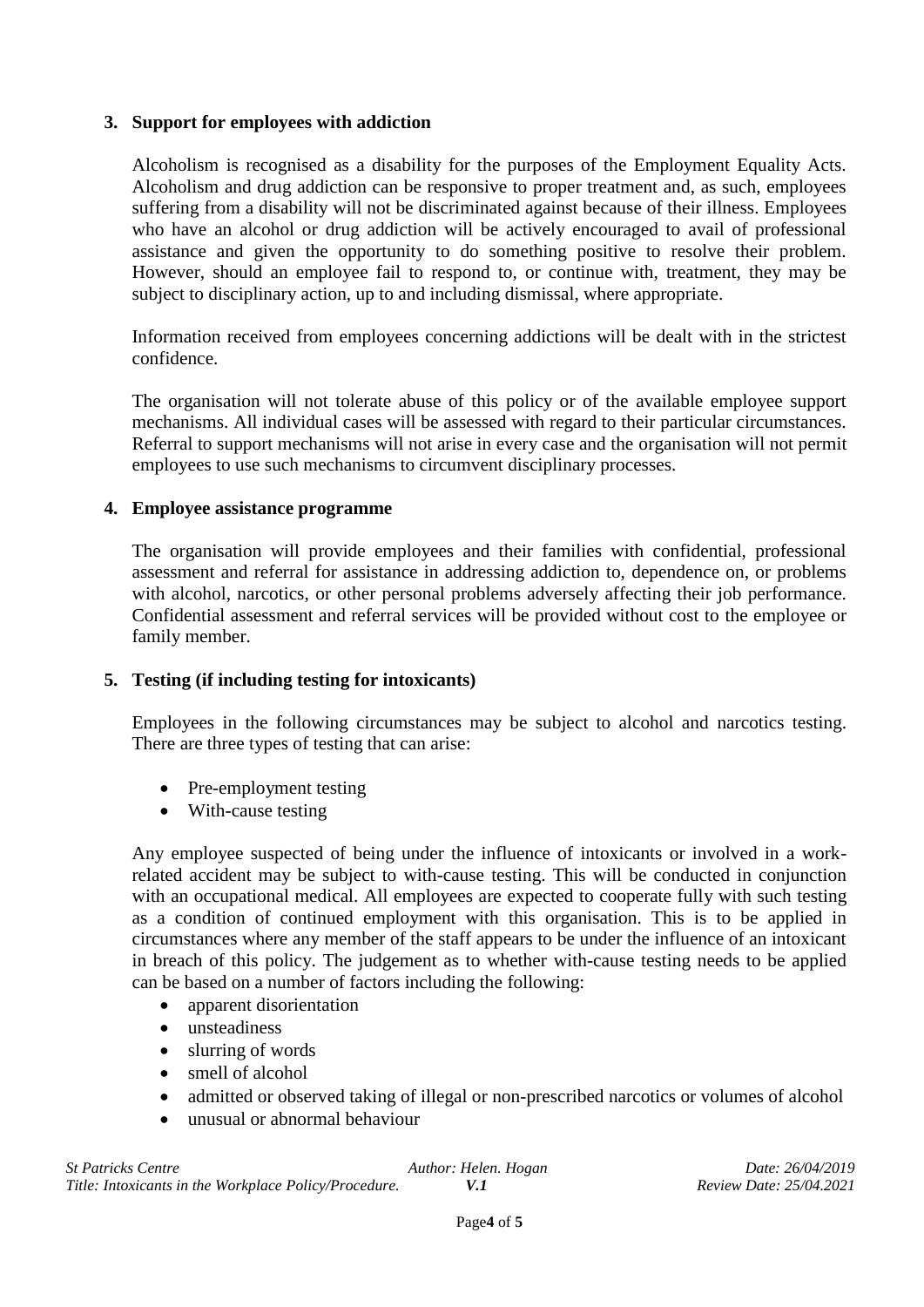#### **3. Support for employees with addiction**

Alcoholism is recognised as a disability for the purposes of the Employment Equality Acts. Alcoholism and drug addiction can be responsive to proper treatment and, as such, employees suffering from a disability will not be discriminated against because of their illness. Employees who have an alcohol or drug addiction will be actively encouraged to avail of professional assistance and given the opportunity to do something positive to resolve their problem. However, should an employee fail to respond to, or continue with, treatment, they may be subject to disciplinary action, up to and including dismissal, where appropriate.

Information received from employees concerning addictions will be dealt with in the strictest confidence.

The organisation will not tolerate abuse of this policy or of the available employee support mechanisms. All individual cases will be assessed with regard to their particular circumstances. Referral to support mechanisms will not arise in every case and the organisation will not permit employees to use such mechanisms to circumvent disciplinary processes.

#### **4. Employee assistance programme**

The organisation will provide employees and their families with confidential, professional assessment and referral for assistance in addressing addiction to, dependence on, or problems with alcohol, narcotics, or other personal problems adversely affecting their job performance. Confidential assessment and referral services will be provided without cost to the employee or family member.

#### **5. Testing (if including testing for intoxicants)**

Employees in the following circumstances may be subject to alcohol and narcotics testing. There are three types of testing that can arise:

- Pre-employment testing
- With-cause testing

Any employee suspected of being under the influence of intoxicants or involved in a workrelated accident may be subject to with-cause testing. This will be conducted in conjunction with an occupational medical. All employees are expected to cooperate fully with such testing as a condition of continued employment with this organisation. This is to be applied in circumstances where any member of the staff appears to be under the influence of an intoxicant in breach of this policy. The judgement as to whether with-cause testing needs to be applied can be based on a number of factors including the following:

- apparent disorientation
- unsteadiness
- slurring of words
- smell of alcohol
- admitted or observed taking of illegal or non-prescribed narcotics or volumes of alcohol
- unusual or abnormal behaviour

| <b>St Patricks Centre</b>                             | Author: Helen. Hogan |
|-------------------------------------------------------|----------------------|
| Title: Intoxicants in the Workplace Policy/Procedure. | <i>V.I</i>           |

*St Patricks Centre Author: Helen. Hogan Date: 26/04/2019 Title: Intoxicants in the Workplace Policy/Procedure. V.1 Review Date: 25/04.2021*